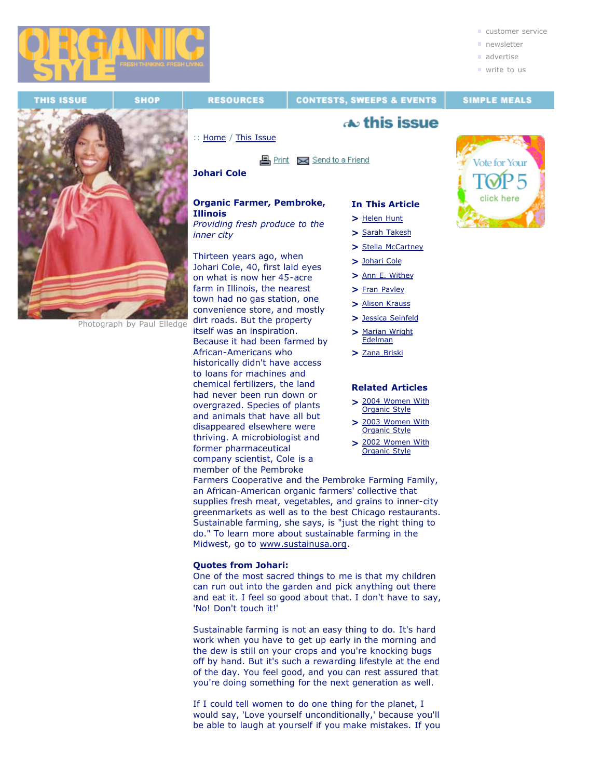

■ write to us



Photograph by Paul Elledge

**RESOURCES** 

**CONTESTS, SWEEPS & EVENTS** 

# **SIMPLE MEALS**

# $\boldsymbol{\infty}$  this issue

:: Home / This Issue

## **图 Print** <br> **Send to a Friend**

**Johari Cole**

#### **Organic Farmer, Pembroke, Illinois**

*Providing fresh produce to the inner city*

Thirteen years ago, when Johari Cole, 40, first laid eyes on what is now her 45-acre farm in Illinois, the nearest town had no gas station, one convenience store, and mostly dirt roads. But the property itself was an inspiration. Because it had been farmed by African-Americans who historically didn't have access to loans for machines and chemical fertilizers, the land had never been run down or overgrazed. Species of plants and animals that have all but disappeared elsewhere were thriving. A microbiologist and former pharmaceutical company scientist, Cole is a member of the Pembroke

## **In This Article**

- **>** Helen Hunt **>** Sarah Takesh
- **>** Stella McCartney
- **>** Johari Cole
- **>** Ann E. Withey
- **>** Fran Pavley
- **>** Alison Krauss
- **>** Jessica Seinfeld
- **>** Marian Wright Edelman
- **>** Zana Briski

#### **Related Articles**

- **>** 2004 Women With Organic Style
- **>** 2003 Women With Organic Style
- **>** 2002 Women With Organic Style

Farmers Cooperative and the Pembroke Farming Family, an African-American organic farmers' collective that supplies fresh meat, vegetables, and grains to inner-city greenmarkets as well as to the best Chicago restaurants. Sustainable farming, she says, is "just the right thing to do." To learn more about sustainable farming in the Midwest, go to www.sustainusa.org.

## **Quotes from Johari:**

One of the most sacred things to me is that my children can run out into the garden and pick anything out there and eat it. I feel so good about that. I don't have to say, 'No! Don't touch it!'

Sustainable farming is not an easy thing to do. It's hard work when you have to get up early in the morning and the dew is still on your crops and you're knocking bugs off by hand. But it's such a rewarding lifestyle at the end of the day. You feel good, and you can rest assured that you're doing something for the next generation as well.

If I could tell women to do one thing for the planet, I would say, 'Love yourself unconditionally,' because you'll be able to laugh at yourself if you make mistakes. If you